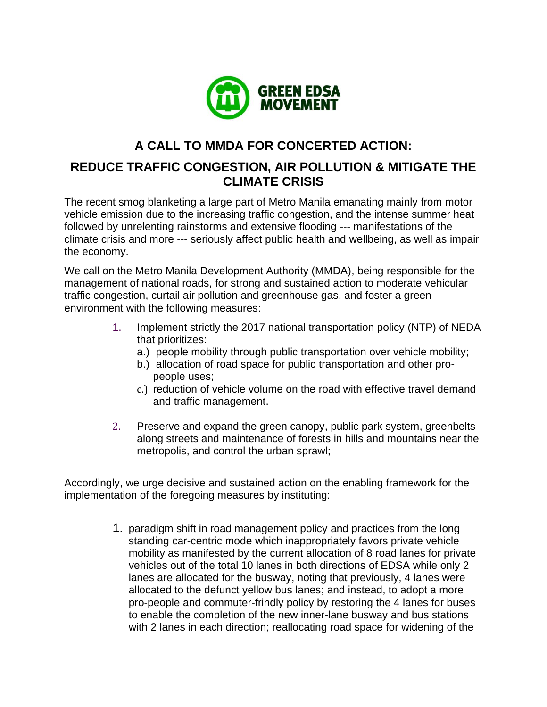

## **A CALL TO MMDA FOR CONCERTED ACTION:**

## **REDUCE TRAFFIC CONGESTION, AIR POLLUTION & MITIGATE THE CLIMATE CRISIS**

The recent smog blanketing a large part of Metro Manila emanating mainly from motor vehicle emission due to the increasing traffic congestion, and the intense summer heat followed by unrelenting rainstorms and extensive flooding --- manifestations of the climate crisis and more --- seriously affect public health and wellbeing, as well as impair the economy.

We call on the Metro Manila Development Authority (MMDA), being responsible for the management of national roads, for strong and sustained action to moderate vehicular traffic congestion, curtail air pollution and greenhouse gas, and foster a green environment with the following measures:

- 1. Implement strictly the 2017 national transportation policy (NTP) of NEDA that prioritizes:
	- a.) people mobility through public transportation over vehicle mobility;
	- b.) allocation of road space for public transportation and other propeople uses;
	- c.) reduction of vehicle volume on the road with effective travel demand and traffic management.
- 2. Preserve and expand the green canopy, public park system, greenbelts along streets and maintenance of forests in hills and mountains near the metropolis, and control the urban sprawl;

Accordingly, we urge decisive and sustained action on the enabling framework for the implementation of the foregoing measures by instituting:

> 1. paradigm shift in road management policy and practices from the long standing car-centric mode which inappropriately favors private vehicle mobility as manifested by the current allocation of 8 road lanes for private vehicles out of the total 10 lanes in both directions of EDSA while only 2 lanes are allocated for the busway, noting that previously, 4 lanes were allocated to the defunct yellow bus lanes; and instead, to adopt a more pro-people and commuter-frindly policy by restoring the 4 lanes for buses to enable the completion of the new inner-lane busway and bus stations with 2 lanes in each direction; reallocating road space for widening of the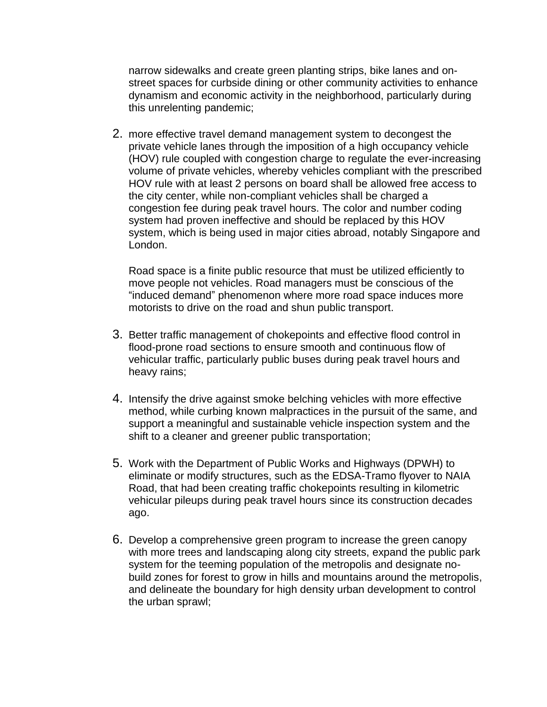narrow sidewalks and create green planting strips, bike lanes and onstreet spaces for curbside dining or other community activities to enhance dynamism and economic activity in the neighborhood, particularly during this unrelenting pandemic;

2. more effective travel demand management system to decongest the private vehicle lanes through the imposition of a high occupancy vehicle (HOV) rule coupled with congestion charge to regulate the ever-increasing volume of private vehicles, whereby vehicles compliant with the prescribed HOV rule with at least 2 persons on board shall be allowed free access to the city center, while non-compliant vehicles shall be charged a congestion fee during peak travel hours. The color and number coding system had proven ineffective and should be replaced by this HOV system, which is being used in major cities abroad, notably Singapore and London.

Road space is a finite public resource that must be utilized efficiently to move people not vehicles. Road managers must be conscious of the "induced demand" phenomenon where more road space induces more motorists to drive on the road and shun public transport.

- 3. Better traffic management of chokepoints and effective flood control in flood-prone road sections to ensure smooth and continuous flow of vehicular traffic, particularly public buses during peak travel hours and heavy rains;
- 4. Intensify the drive against smoke belching vehicles with more effective method, while curbing known malpractices in the pursuit of the same, and support a meaningful and sustainable vehicle inspection system and the shift to a cleaner and greener public transportation;
- 5. Work with the Department of Public Works and Highways (DPWH) to eliminate or modify structures, such as the EDSA-Tramo flyover to NAIA Road, that had been creating traffic chokepoints resulting in kilometric vehicular pileups during peak travel hours since its construction decades ago.
- 6. Develop a comprehensive green program to increase the green canopy with more trees and landscaping along city streets, expand the public park system for the teeming population of the metropolis and designate nobuild zones for forest to grow in hills and mountains around the metropolis, and delineate the boundary for high density urban development to control the urban sprawl;